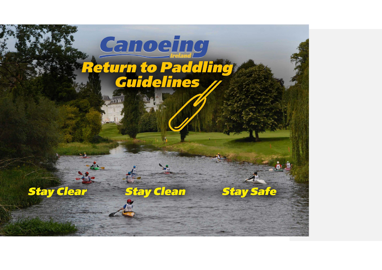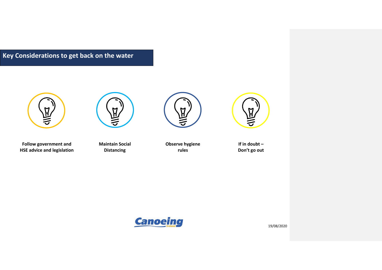**Key Considerations to get back on the water**



M

**Follow government and HSE advice and legislation** 

**Maintain Social Distancing**





**Observe hygiene rules**

**If in doubt – Don't go out**

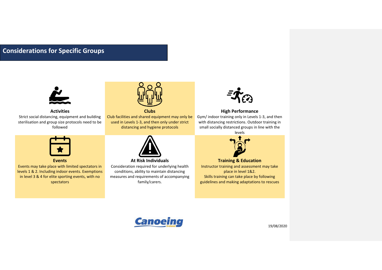# **Considerations for Specific Groups**



# **Activities**

Strict social distancing, equipment and building sterilisation and group size protocols need to be followed



**Events**

Events may take place with limited spectators in levels 1 & 2. Including indoor events. Exemptions in level 3 & 4 for elite sporting events, with no spectators



Club facilities and shared equipment may only be used in Levels 1-3, and then only under strict distancing and hygiene protocols



**At Risk Individuals** Consideration required for underlying health conditions, ability to maintain distancing measures and requirements of accompanying family/carers.



# **High Performance**

Gym/ indoor training only in Levels 1-3, and then with distancing restrictions. Outdoor training in small socially distanced groups in line with the





**Training & Education** Instructor training and assessment may take place in level 1&2. Skills training can take place by following guidelines and making adaptations to rescues

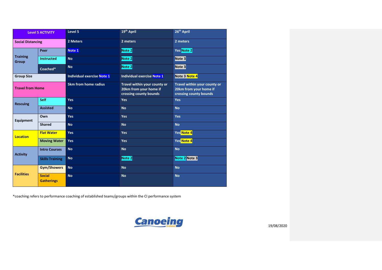| <b>Level 5 ACTIVITY</b>  |                                    | Level 5                           | 19 <sup>th</sup> April                                                           | 26 <sup>th</sup> April                                                           |
|--------------------------|------------------------------------|-----------------------------------|----------------------------------------------------------------------------------|----------------------------------------------------------------------------------|
| <b>Social Distancing</b> |                                    | 2 Meters                          | 2 meters                                                                         | 2 meters                                                                         |
| <b>Training</b><br>Group | Peer                               | Note 1                            | Note 2                                                                           | Yes Note 2                                                                       |
|                          | <b>Instructed</b>                  | <b>No</b>                         | Note 2                                                                           | Note 3                                                                           |
|                          | Coached*                           | <b>No</b>                         | Note 2                                                                           | Note 3                                                                           |
| <b>Group Size</b>        |                                    | <b>Individual exercise Note 1</b> | <b>Individual exercise Note 1</b>                                                | Note 3 Note 4                                                                    |
| <b>Travel from Home</b>  |                                    | <b>5km from home radius</b>       | Travel within your county or<br>20km from your home if<br>crossing county bounds | Travel within your county or<br>20km from your home if<br>crossing county bounds |
| <b>Rescuing</b>          | Self                               | Yes                               | Yes                                                                              | Yes                                                                              |
|                          | <b>Assisted</b>                    | <b>No</b>                         | <b>No</b>                                                                        | <b>No</b>                                                                        |
| <b>Equipment</b>         | Own                                | <b>Yes</b>                        | <b>Yes</b>                                                                       | Yes                                                                              |
|                          | <b>Shared</b>                      | <b>No</b>                         | <b>No</b>                                                                        | <b>No</b>                                                                        |
| <b>Location</b>          | <b>Flat Water</b>                  | <b>Yes</b>                        | <b>Yes</b>                                                                       | Yes Note 4                                                                       |
|                          | <b>Moving Water</b>                | Yes                               | Yes                                                                              | Yes Note 4                                                                       |
| <b>Activity</b>          | <b>Intro Courses</b>               | <b>No</b>                         | <b>No</b>                                                                        | <b>No</b>                                                                        |
|                          | <b>Skills Training</b>             | <b>No</b>                         | Note 2                                                                           | Note 2 Note 3                                                                    |
| <b>Facilities</b>        | <b>Gym/Showers</b>                 | <b>No</b>                         | <b>No</b>                                                                        | <b>No</b>                                                                        |
|                          | <b>Social</b><br><b>Gatherings</b> | <b>No</b>                         | <b>No</b>                                                                        | <b>No</b>                                                                        |

\*coaching refers to performance coaching of established teams/groups within the CI performance system

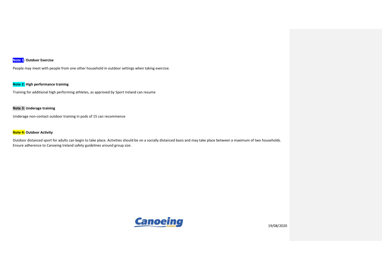# **Note 1: Outdoor Exercise**

People may meet with people from one other household in outdoor settings when taking exercise.

## **Note 2: High performance training**

Training for additional high performing athletes, as approved by Sport Ireland can resume

### **Note 3: Underage training**

Underage non-contact outdoor training in pods of 15 can recommence

# **Note 4: Outdoor Activity**

Outdoor distanced sport for adults can begin to take place. Activities should be on a socially distanced basis and may take place between a maximum of two households. Ensure adherence to Canoeing Ireland safety guidelines around group size.

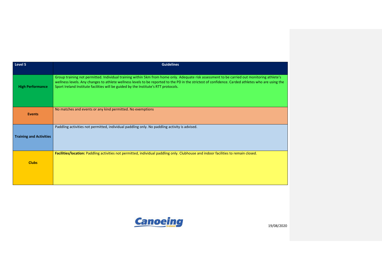| Level 5                        | <b>Guidelines</b>                                                                                                                                                                                                                                                                                                                                                                         |
|--------------------------------|-------------------------------------------------------------------------------------------------------------------------------------------------------------------------------------------------------------------------------------------------------------------------------------------------------------------------------------------------------------------------------------------|
| <b>High Performance</b>        | Group training not permitted. Individual training within 5km from home only. Adequate risk assessment to be carried out monitoring athlete's<br>wellness levels. Any changes to athlete wellness levels to be reported to the PD in the strictest of confidence. Carded athletes who are using the<br>Sport Ireland Institute facilities will be guided by the Institute's RTT protocols. |
| <b>Events</b>                  | No matches and events or any kind permitted. No exemptions                                                                                                                                                                                                                                                                                                                                |
| <b>Training and Activities</b> | Paddling activities not permitted, individual paddling only. No paddling activity is advised.                                                                                                                                                                                                                                                                                             |
| <b>Clubs</b>                   | Facilities/location: Paddling activities not permitted, individual paddling only. Clubhouse and indoor facilities to remain closed.                                                                                                                                                                                                                                                       |

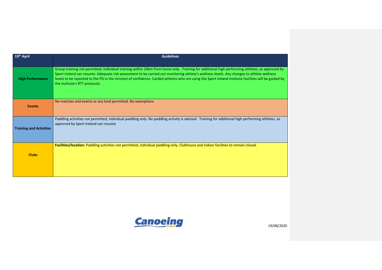| 19 <sup>th</sup> April         | <b>Guidelines</b>                                                                                                                                                                                                                                                                                                                                                                                                                                                                        |
|--------------------------------|------------------------------------------------------------------------------------------------------------------------------------------------------------------------------------------------------------------------------------------------------------------------------------------------------------------------------------------------------------------------------------------------------------------------------------------------------------------------------------------|
| <b>High Performance</b>        | Group training not permitted. Individual training within 20km from home only. Training for additional high performing athletes, as approved by<br>Sport Ireland can resume. Adequate risk assessment to be carried out monitoring athlete's wellness levels. Any changes to athlete wellness<br>levels to be reported to the PD in the strictest of confidence. Carded athletes who are using the Sport Ireland Institute facilities will be guided by<br>the Institute's RTT protocols. |
| <b>Events</b>                  | No matches and events or any kind permitted. No exemptions                                                                                                                                                                                                                                                                                                                                                                                                                               |
| <b>Training and Activities</b> | Paddling activities not permitted, individual paddling only. No paddling activity is advised. Training for additional high performing athletes, as<br>approved by Sport Ireland can resume                                                                                                                                                                                                                                                                                               |
| <b>Clubs</b>                   | Facilities/location: Paddling activities not permitted, individual paddling only. Clubhouse and indoor facilities to remain closed.                                                                                                                                                                                                                                                                                                                                                      |

Canoeing and the state of the state of the state of the state of the state of the state of the state of the state of the state of the state of the state of the state of the state of the state of the state of the state of t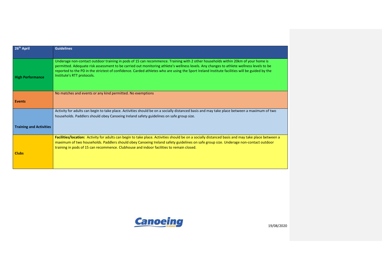| 26 <sup>th</sup> April         | <b>Guidelines</b>                                                                                                                                                                                                                                                                                                                                                                    |
|--------------------------------|--------------------------------------------------------------------------------------------------------------------------------------------------------------------------------------------------------------------------------------------------------------------------------------------------------------------------------------------------------------------------------------|
|                                | Underage non-contact outdoor training in pods of 15 can recommence. Training with 2 other households within 20km of your home is                                                                                                                                                                                                                                                     |
| <b>High Performance</b>        | permitted. Adequate risk assessment to be carried out monitoring athlete's wellness levels. Any changes to athlete wellness levels to be<br>reported to the PD in the strictest of confidence. Carded athletes who are using the Sport Ireland Institute facilities will be guided by the<br>Institute's RTT protocols.                                                              |
|                                | No matches and events or any kind permitted. No exemptions                                                                                                                                                                                                                                                                                                                           |
| <b>Events</b>                  |                                                                                                                                                                                                                                                                                                                                                                                      |
|                                | Activity for adults can begin to take place. Activities should be on a socially distanced basis and may take place between a maximum of two<br>households. Paddlers should obey Canoeing Ireland safety guidelines on safe group size.                                                                                                                                               |
| <b>Training and Activities</b> |                                                                                                                                                                                                                                                                                                                                                                                      |
|                                | Facilities/location: Activity for adults can begin to take place. Activities should be on a socially distanced basis and may take place between a<br>maximum of two households. Paddlers should obey Canoeing Ireland safety guidelines on safe group size. Underage non-contact outdoor<br>training in pods of 15 can recommence. Clubhouse and indoor facilities to remain closed. |
| <b>Clubs</b>                   |                                                                                                                                                                                                                                                                                                                                                                                      |

Canoeing and the state of the state of the state of the state of the state of the state of the state of the state of the state of the state of the state of the state of the state of the state of the state of the state of t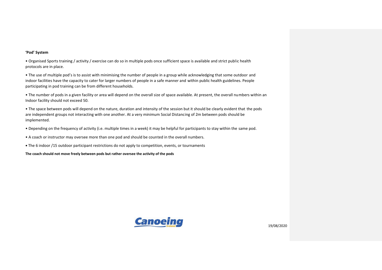### **'Pod' System**

• Organised Sports training / activity / exercise can do so in multiple pods once sufficient space is available and strict public health protocols are in place.

• The use of multiple pod's is to assist with minimising the number of people in a group while acknowledging that some outdoor and indoor facilities have the capacity to cater for larger numbers of people in a safe manner and within public health guidelines. People participating in pod training can be from different households.

• The number of pods in a given facility or area will depend on the overall size of space available. At present, the overall numbers within an Indoor facility should not exceed 50.

• The space between pods will depend on the nature, duration and intensity of the session but it should be clearly evident that the pods are independent groups not interacting with one another. At a very minimum Social Distancing of 2m between pods should be implemented.

- Depending on the frequency of activity (i.e. multiple times in a week) it may be helpful for participants to stay within the same pod.
- A coach or instructor may oversee more than one pod and should be counted in the overall numbers.
- **•** The 6 indoor /15 outdoor participant restrictions do not apply to competition, events, or tournaments

**The coach should not move freely between pods but rather oversee the activity of the pods**

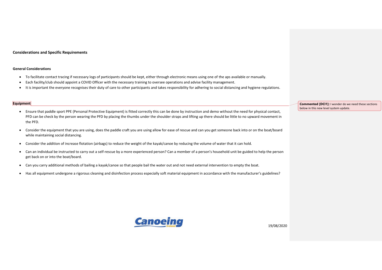#### **Considerations and Specific Requirements**

#### **General Considerations**

- To facilitate contact tracing if necessary logs of participants should be kept, either through electronic means using one of the aps available or manually.
- Each facility/club should appoint a COVID Officer with the necessary training to oversee operations and advise facility management.
- It is important the everyone recognises their duty of care to other participants and takes responsibility for adhering to social distancing and hygiene regulations.

#### **Equipment**

- Ensure that paddle sport PPE (Personal Protective Equipment) is fitted correctly this can be done by instruction and demo without the need for physical contact, PFD can be check by the person wearing the PFD by placing the thumbs under the shoulder straps and lifting up there should be little to no upward movement in the PFD.
- Consider the equipment that you are using, does the paddle craft you are using allow for ease of rescue and can you get someone back into or on the boat/board while maintaining social distancing.
- Consider the addition of increase flotation (airbags) to reduce the weight of the kayak/canoe by reducing the volume of water that it can hold.
- Can an individual be instructed to carry out a self-rescue by a more experienced person? Can a member of a person's household unit be guided to help the person get back on or into the boat/board.
- Can you carry additional methods of bailing a kayak/canoe so that people bail the water out and not need external intervention to empty the boat.
- Has all equipment undergone a rigorous cleaning and disinfection process especially soft material equipment in accordance with the manufacturer's guidelines?

**Commented [DCI1]:** I wonder do we need these sections below in this new level system update.